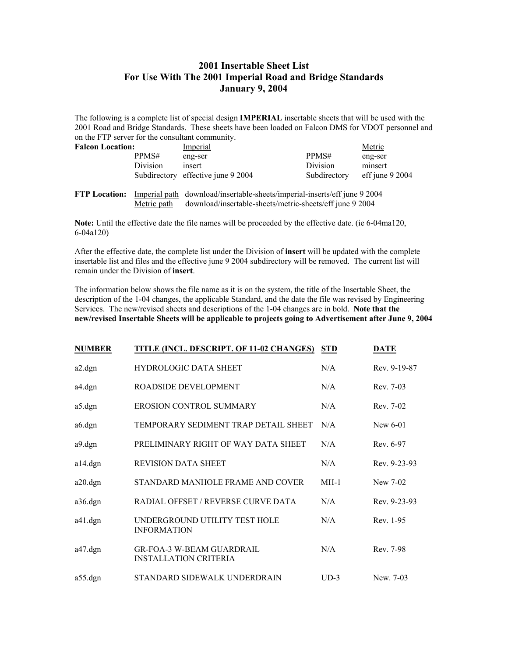## **2001 Insertable Sheet List For Use With The 2001 Imperial Road and Bridge Standards January 9, 2004**

The following is a complete list of special design **IMPERIAL** insertable sheets that will be used with the 2001 Road and Bridge Standards. These sheets have been loaded on Falcon DMS for VDOT personnel and on the FTP server for the consultant community.

| <b>Falcon Location:</b> |          | Imperial                           |              | Metric             |
|-------------------------|----------|------------------------------------|--------------|--------------------|
|                         | PPMS#    | eng-ser                            | PPMS#        | eng-ser            |
|                         | Division | insert                             | Division     | minsert            |
|                         |          | Subdirectory effective june 9 2004 | Subdirectory | eff june $9\,2004$ |
|                         |          |                                    |              |                    |

**FTP Location:** Imperial path download/insertable-sheets/imperial-inserts/eff june 9 2004 Metric path download/insertable-sheets/metric-sheets/eff june 9 2004

**Note:** Until the effective date the file names will be proceeded by the effective date. (ie 6-04ma120, 6-04a120)

After the effective date, the complete list under the Division of **insert** will be updated with the complete insertable list and files and the effective june 9 2004 subdirectory will be removed. The current list will remain under the Division of **insert**.

The information below shows the file name as it is on the system, the title of the Insertable Sheet, the description of the 1-04 changes, the applicable Standard, and the date the file was revised by Engineering Services. The new/revised sheets and descriptions of the 1-04 changes are in bold. **Note that the new/revised Insertable Sheets will be applicable to projects going to Advertisement after June 9, 2004** 

| <b>NUMBER</b> | <b>TITLE (INCL. DESCRIPT. OF 11-02 CHANGES)</b>                  | <b>STD</b> | <b>DATE</b>  |
|---------------|------------------------------------------------------------------|------------|--------------|
| a2.dgn        | <b>HYDROLOGIC DATA SHEET</b>                                     | N/A        | Rev. 9-19-87 |
| a4.dgn        | ROADSIDE DEVELOPMENT                                             | N/A        | Rev. 7-03    |
| a5.dgn        | <b>EROSION CONTROL SUMMARY</b>                                   | N/A        | Rev. 7-02    |
| a6.dgn        | TEMPORARY SEDIMENT TRAP DETAIL SHEET                             | N/A        | New $6-01$   |
| a9.dgn        | PRELIMINARY RIGHT OF WAY DATA SHEET                              | N/A        | Rev. 6-97    |
| $a14.$ dgn    | REVISION DATA SHEET                                              | N/A        | Rev. 9-23-93 |
| a20.dgn       | STANDARD MANHOLE FRAME AND COVER                                 | $MH-1$     | New 7-02     |
| a36.dgn       | RADIAL OFFSET / REVERSE CURVE DATA                               | N/A        | Rev. 9-23-93 |
| $a41.$ dgn    | UNDERGROUND UTILITY TEST HOLE<br><b>INFORMATION</b>              | N/A        | Rev. 1-95    |
| $a47.$ dgn    | <b>GR-FOA-3 W-BEAM GUARDRAIL</b><br><b>INSTALLATION CRITERIA</b> | N/A        | Rev. 7-98    |
| $a55.$ dgn    | STANDARD SIDEWALK UNDERDRAIN                                     | $UD-3$     | New. 7-03    |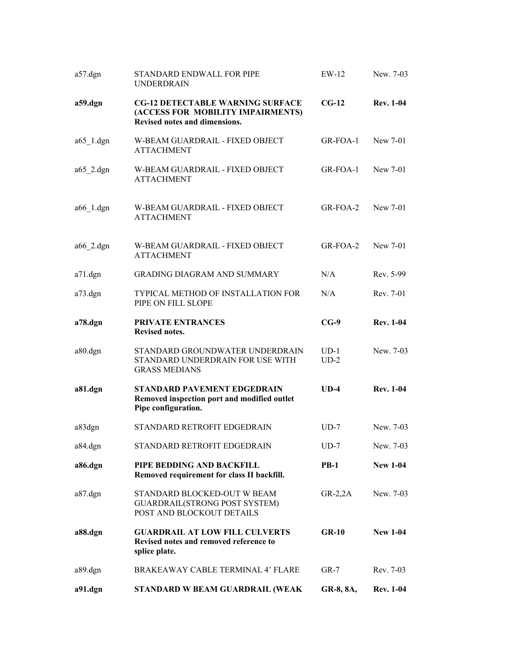| $a57 \text{.}$ dgn     | STANDARD ENDWALL FOR PIPE<br><b>UNDERDRAIN</b>                                                                | $EW-12$          | New. 7-03        |
|------------------------|---------------------------------------------------------------------------------------------------------------|------------------|------------------|
| a59.dgn                | <b>CG-12 DETECTABLE WARNING SURFACE</b><br>(ACCESS FOR MOBILITY IMPAIRMENTS)<br>Revised notes and dimensions. | $CG-12$          | <b>Rev. 1-04</b> |
| $a65$ <sup>1.dgn</sup> | W-BEAM GUARDRAIL - FIXED OBJECT<br><b>ATTACHMENT</b>                                                          | GR-FOA-1         | New 7-01         |
| $a65$ 2.dgn            | W-BEAM GUARDRAIL - FIXED OBJECT<br><b>ATTACHMENT</b>                                                          | GR-FOA-1         | New 7-01         |
| a66 1.dgn              | W-BEAM GUARDRAIL - FIXED OBJECT<br><b>ATTACHMENT</b>                                                          | GR-FOA-2         | New 7-01         |
| a66 2.dgn              | W-BEAM GUARDRAIL - FIXED OBJECT<br><b>ATTACHMENT</b>                                                          | GR-FOA-2         | New 7-01         |
| $a71.$ dgn             | <b>GRADING DIAGRAM AND SUMMARY</b>                                                                            | N/A              | Rev. 5-99        |
| $a73.$ dgn             | TYPICAL METHOD OF INSTALLATION FOR<br>PIPE ON FILL SLOPE                                                      | N/A              | Rev. 7-01        |
| a78.dgn                | PRIVATE ENTRANCES<br>Revised notes.                                                                           | $CG-9$           | <b>Rev. 1-04</b> |
| a80.dgn                | STANDARD GROUNDWATER UNDERDRAIN<br>STANDARD UNDERDRAIN FOR USE WITH<br><b>GRASS MEDIANS</b>                   | $UD-1$<br>$UD-2$ | New. 7-03        |
| a81.dgn                | <b>STANDARD PAVEMENT EDGEDRAIN</b><br>Removed inspection port and modified outlet<br>Pipe configuration.      | $UD-4$           | <b>Rev. 1-04</b> |
| a83dgn                 | STANDARD RETROFIT EDGEDRAIN                                                                                   | $UD-7$           | New. 7-03        |
| a84.dgn                | STANDARD RETROFIT EDGEDRAIN                                                                                   | $UD-7$           | New. 7-03        |
| a86.dgn                | PIPE BEDDING AND BACKFILL<br>Removed requirement for class II backfill.                                       | $PB-1$           | <b>New 1-04</b>  |
| a87.dgn                | STANDARD BLOCKED-OUT W BEAM<br><b>GUARDRAIL(STRONG POST SYSTEM)</b><br>POST AND BLOCKOUT DETAILS              | $GR-2,2A$        | New. 7-03        |
| a88.dgn                | <b>GUARDRAIL AT LOW FILL CULVERTS</b><br>Revised notes and removed reference to<br>splice plate.              | $GR-10$          | <b>New 1-04</b>  |
| a89.dgn                | BRAKEAWAY CABLE TERMINAL 4' FLARE                                                                             | $GR-7$           | Rev. 7-03        |
| a91.dgn                | STANDARD W BEAM GUARDRAIL (WEAK                                                                               | GR-8, 8A,        | <b>Rev. 1-04</b> |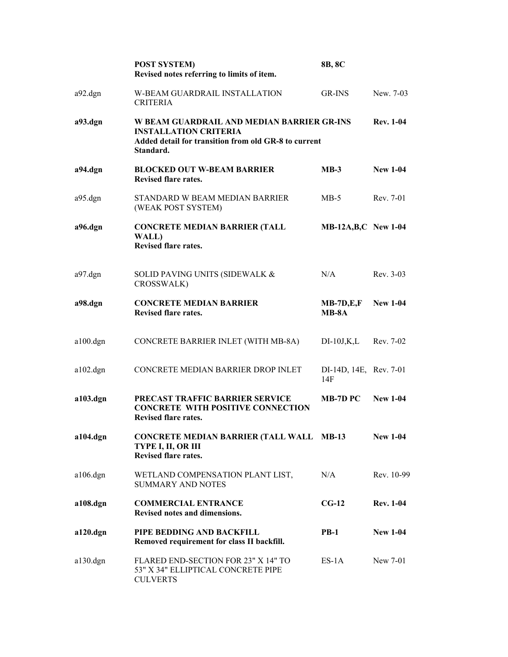|                     | <b>POST SYSTEM)</b><br>Revised notes referring to limits of item.                                                                               | 8B, 8C                        |                  |
|---------------------|-------------------------------------------------------------------------------------------------------------------------------------------------|-------------------------------|------------------|
| a92.dgn             | <b>W-BEAM GUARDRAIL INSTALLATION</b><br><b>CRITERIA</b>                                                                                         | GR-INS                        | New. 7-03        |
| a93.dgn             | W BEAM GUARDRAIL AND MEDIAN BARRIER GR-INS<br><b>INSTALLATION CRITERIA</b><br>Added detail for transition from old GR-8 to current<br>Standard. |                               | <b>Rev. 1-04</b> |
| a94.dgn             | <b>BLOCKED OUT W-BEAM BARRIER</b><br><b>Revised flare rates.</b>                                                                                | $MB-3$                        | <b>New 1-04</b>  |
| $a95 \text{ dgn}$   | STANDARD W BEAM MEDIAN BARRIER<br>(WEAK POST SYSTEM)                                                                                            | $MB-5$                        | Rev. 7-01        |
| a96.dgn             | <b>CONCRETE MEDIAN BARRIER (TALL</b><br>WALL)<br><b>Revised flare rates.</b>                                                                    | <b>MB-12A, B, C</b> New 1-04  |                  |
| a97.dgn             | SOLID PAVING UNITS (SIDEWALK &<br>CROSSWALK)                                                                                                    | N/A                           | Rev. 3-03        |
| a98.dgn             | <b>CONCRETE MEDIAN BARRIER</b><br>Revised flare rates.                                                                                          | $MB-7D,E,F$<br>$MB-8A$        | <b>New 1-04</b>  |
| a100.dgn            | CONCRETE BARRIER INLET (WITH MB-8A)                                                                                                             | $DI-10J,K,L$                  | Rev. 7-02        |
| $a102$ .dgn         | CONCRETE MEDIAN BARRIER DROP INLET                                                                                                              | DI-14D, 14E, Rev. 7-01<br>14F |                  |
| a103.dgn            | PRECAST TRAFFIC BARRIER SERVICE<br><b>CONCRETE WITH POSITIVE CONNECTION</b><br><b>Revised flare rates.</b>                                      | MB-7D PC                      | <b>New 1-04</b>  |
| a104.dgn            | <b>CONCRETE MEDIAN BARRIER (TALL WALL MB-13</b><br>TYPE I, II, OR III<br>Revised flare rates.                                                   |                               | <b>New 1-04</b>  |
| $a106 \text{.}$ dgn | WETLAND COMPENSATION PLANT LIST,<br><b>SUMMARY AND NOTES</b>                                                                                    | N/A                           | Rev. 10-99       |
| a108.dgn            | <b>COMMERCIAL ENTRANCE</b><br>Revised notes and dimensions.                                                                                     | $CG-12$                       | <b>Rev. 1-04</b> |
| $a120.$ dgn         | PIPE BEDDING AND BACKFILL<br>Removed requirement for class II backfill.                                                                         | $PB-1$                        | <b>New 1-04</b>  |
| $a130.$ dgn         | FLARED END-SECTION FOR 23" X 14" TO<br>53" X 34" ELLIPTICAL CONCRETE PIPE<br><b>CULVERTS</b>                                                    | ES-1A                         | New 7-01         |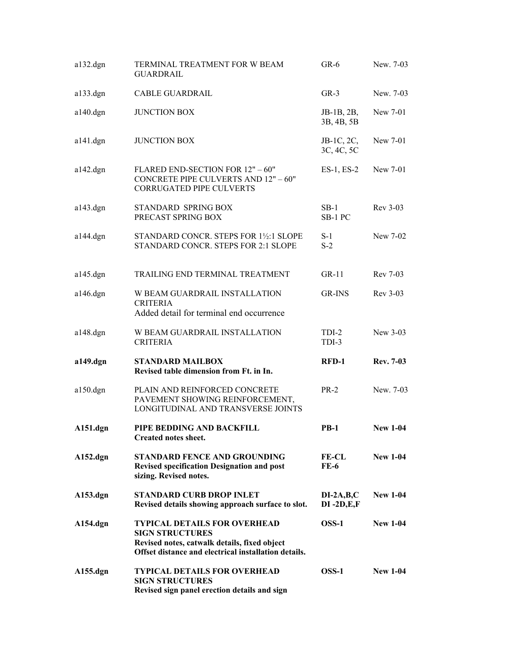| $a132.$ dgn | TERMINAL TREATMENT FOR W BEAM<br><b>GUARDRAIL</b>                                                                                                                     | $GR-6$                         | New. 7-03        |
|-------------|-----------------------------------------------------------------------------------------------------------------------------------------------------------------------|--------------------------------|------------------|
| $a133$ .dgn | <b>CABLE GUARDRAIL</b>                                                                                                                                                | $GR-3$                         | New. 7-03        |
| $a140.$ dgn | <b>JUNCTION BOX</b>                                                                                                                                                   | JB-1B, 2B,<br>3B, 4B, 5B       | New 7-01         |
| $a141$ .dgn | <b>JUNCTION BOX</b>                                                                                                                                                   | $JB-1C, 2C,$<br>3C, 4C, 5C     | New 7-01         |
| $a142.$ dgn | FLARED END-SECTION FOR 12" - 60"<br>CONCRETE PIPE CULVERTS AND 12" - 60"<br><b>CORRUGATED PIPE CULVERTS</b>                                                           | $ES-1, ES-2$                   | New 7-01         |
| $a143.$ dgn | STANDARD SPRING BOX<br>PRECAST SPRING BOX                                                                                                                             | $SB-1$<br>SB-1 PC              | Rev 3-03         |
| $a144.$ dgn | STANDARD CONCR. STEPS FOR 1½:1 SLOPE<br>STANDARD CONCR. STEPS FOR 2:1 SLOPE                                                                                           | $S-1$<br>$S-2$                 | New 7-02         |
| $a145.$ dgn | TRAILING END TERMINAL TREATMENT                                                                                                                                       | $GR-11$                        | Rev 7-03         |
| $a146.$ dgn | W BEAM GUARDRAIL INSTALLATION<br><b>CRITERIA</b><br>Added detail for terminal end occurrence                                                                          | <b>GR-INS</b>                  | Rev 3-03         |
| $a148.$ dgn | W BEAM GUARDRAIL INSTALLATION<br><b>CRITERIA</b>                                                                                                                      | TDI-2<br>TDI-3                 | New 3-03         |
| a149.dgn    | <b>STANDARD MAILBOX</b><br>Revised table dimension from Ft. in In.                                                                                                    | RFD-1                          | <b>Rev. 7-03</b> |
| $a150.$ dgn | PLAIN AND REINFORCED CONCRETE<br>PAVEMENT SHOWING REINFORCEMENT,<br>LONGITUDINAL AND TRANSVERSE JOINTS                                                                | $PR-2$                         | New. 7-03        |
| $A151.$ dgn | PIPE BEDDING AND BACKFILL<br>Created notes sheet.                                                                                                                     | <b>PB-1</b>                    | <b>New 1-04</b>  |
| $A152.$ dgn | <b>STANDARD FENCE AND GROUNDING</b><br><b>Revised specification Designation and post</b><br>sizing. Revised notes.                                                    | <b>FE-CL</b><br>$FE-6$         | <b>New 1-04</b>  |
| A153.dgn    | <b>STANDARD CURB DROP INLET</b><br>Revised details showing approach surface to slot.                                                                                  | $DI-2A,B,C$<br>$DI - 2D, E, F$ | <b>New 1-04</b>  |
| A154.dgn    | <b>TYPICAL DETAILS FOR OVERHEAD</b><br><b>SIGN STRUCTURES</b><br>Revised notes, catwalk details, fixed object<br>Offset distance and electrical installation details. | $OSS-1$                        | <b>New 1-04</b>  |
| A155.dgn    | <b>TYPICAL DETAILS FOR OVERHEAD</b><br><b>SIGN STRUCTURES</b><br>Revised sign panel erection details and sign                                                         | $OSS-1$                        | <b>New 1-04</b>  |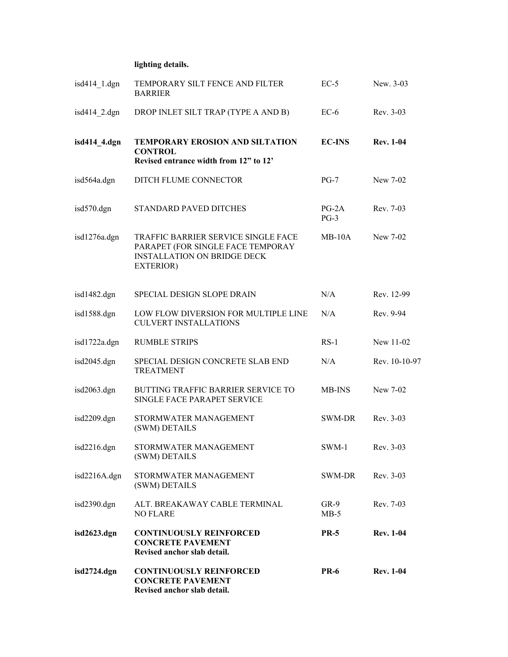## **lighting details.**

| isd2724.dgn     | <b>CONTINUOUSLY REINFORCED</b><br><b>CONCRETE PAVEMENT</b><br>Revised anchor slab detail.                                   | <b>PR-6</b>       | <b>Rev. 1-04</b> |
|-----------------|-----------------------------------------------------------------------------------------------------------------------------|-------------------|------------------|
| isd2623.dgn     | <b>CONTINUOUSLY REINFORCED</b><br><b>CONCRETE PAVEMENT</b><br>Revised anchor slab detail.                                   | <b>PR-5</b>       | <b>Rev. 1-04</b> |
| isd2390.dgn     | ALT. BREAKAWAY CABLE TERMINAL<br><b>NO FLARE</b>                                                                            | $GR-9$<br>$MB-5$  | Rev. 7-03        |
| isd2216A.dgn    | STORMWATER MANAGEMENT<br>(SWM) DETAILS                                                                                      | SWM-DR            | Rev. 3-03        |
| isd2216.dgn     | STORMWATER MANAGEMENT<br>(SWM) DETAILS                                                                                      | SWM-1             | $Rev. 3-03$      |
| isd2209.dgn     | STORMWATER MANAGEMENT<br>(SWM) DETAILS                                                                                      | <b>SWM-DR</b>     | Rev. 3-03        |
| isd2063.dgn     | BUTTING TRAFFIC BARRIER SERVICE TO<br>SINGLE FACE PARAPET SERVICE                                                           | <b>MB-INS</b>     | New 7-02         |
| isd2045.dgn     | SPECIAL DESIGN CONCRETE SLAB END<br><b>TREATMENT</b>                                                                        | N/A               | Rev. 10-10-97    |
| isd1722a.dgn    | <b>RUMBLE STRIPS</b>                                                                                                        | $RS-1$            | New 11-02        |
| isd1588.dgn     | LOW FLOW DIVERSION FOR MULTIPLE LINE<br><b>CULVERT INSTALLATIONS</b>                                                        | N/A               | Rev. 9-94        |
| isd1482.dgn     | SPECIAL DESIGN SLOPE DRAIN                                                                                                  | N/A               | Rev. 12-99       |
| isd1276a.dgn    | TRAFFIC BARRIER SERVICE SINGLE FACE<br>PARAPET (FOR SINGLE FACE TEMPORAY<br><b>INSTALLATION ON BRIDGE DECK</b><br>EXTERIOR) | $MB-10A$          | New 7-02         |
| isd570.dgn      | STANDARD PAVED DITCHES                                                                                                      | $PG-2A$<br>$PG-3$ | Rev. 7-03        |
| isd564a.dgn     | DITCH FLUME CONNECTOR                                                                                                       | $PG-7$            | New 7-02         |
| isd414 4.dgn    | TEMPORARY EROSION AND SILTATION<br><b>CONTROL</b><br>Revised entrance width from 12" to 12"                                 | <b>EC-INS</b>     | <b>Rev. 1-04</b> |
| isd $414$ 2.dgn | DROP INLET SILT TRAP (TYPE A AND B)                                                                                         | $EC-6$            | Rev. 3-03        |
| isd414 1.dgn    | TEMPORARY SILT FENCE AND FILTER<br><b>BARRIER</b>                                                                           | $EC-5$            | New. 3-03        |